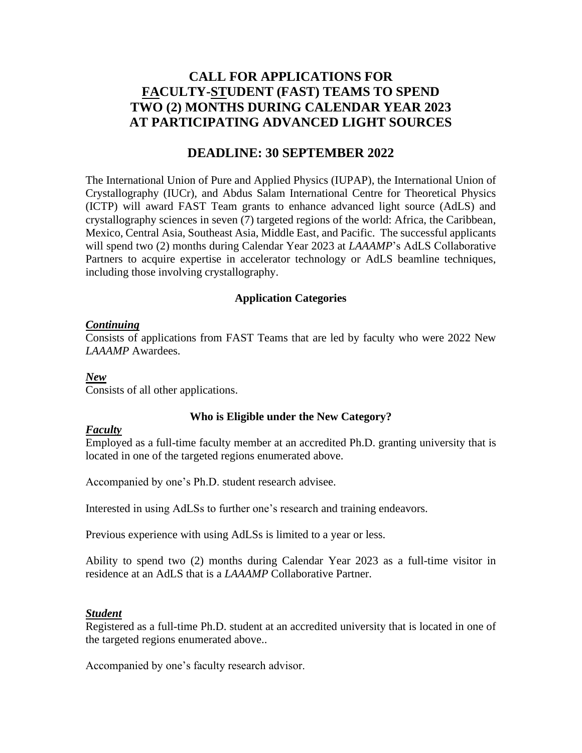### **CALL FOR APPLICATIONS FOR FACULTY-STUDENT (FAST) TEAMS TO SPEND TWO (2) MONTHS DURING CALENDAR YEAR 2023 AT PARTICIPATING ADVANCED LIGHT SOURCES**

### **DEADLINE: 30 SEPTEMBER 2022**

The International Union of Pure and Applied Physics (IUPAP), the International Union of Crystallography (IUCr), and Abdus Salam International Centre for Theoretical Physics (ICTP) will award FAST Team grants to enhance advanced light source (AdLS) and crystallography sciences in seven (7) targeted regions of the world: Africa, the Caribbean, Mexico, Central Asia, Southeast Asia, Middle East, and Pacific. The successful applicants will spend two (2) months during Calendar Year 2023 at *LAAAMP*'s AdLS Collaborative Partners to acquire expertise in accelerator technology or AdLS beamline techniques, including those involving crystallography.

#### **Application Categories**

#### *Continuing*

Consists of applications from FAST Teams that are led by faculty who were 2022 New *LAAAMP* Awardees.

#### *New*

Consists of all other applications.

#### **Who is Eligible under the New Category?**

#### *Faculty*

Employed as a full-time faculty member at an accredited Ph.D. granting university that is located in one of the targeted regions enumerated above.

Accompanied by one's Ph.D. student research advisee.

Interested in using AdLSs to further one's research and training endeavors.

Previous experience with using AdLSs is limited to a year or less.

Ability to spend two (2) months during Calendar Year 2023 as a full-time visitor in residence at an AdLS that is a *LAAAMP* Collaborative Partner.

#### *Student*

Registered as a full-time Ph.D. student at an accredited university that is located in one of the targeted regions enumerated above..

Accompanied by one's faculty research advisor.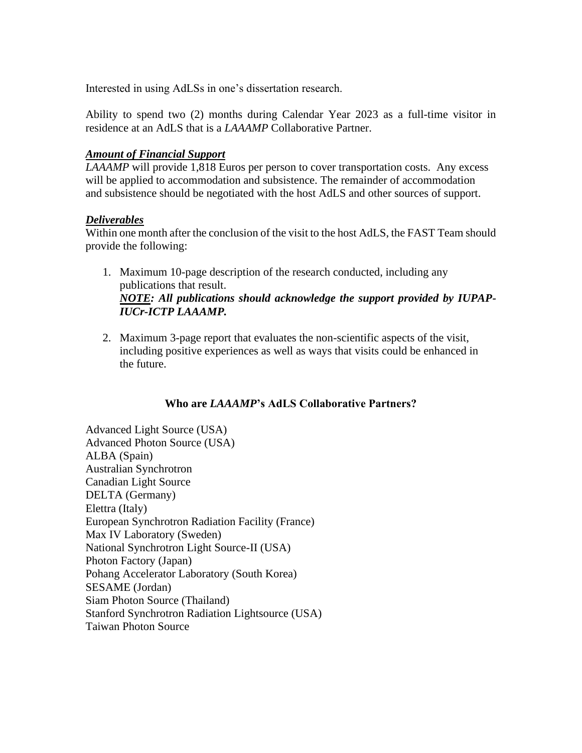Interested in using AdLSs in one's dissertation research.

Ability to spend two (2) months during Calendar Year 2023 as a full-time visitor in residence at an AdLS that is a *LAAAMP* Collaborative Partner.

#### *Amount of Financial Support*

*LAAAMP* will provide 1,818 Euros per person to cover transportation costs. Any excess will be applied to accommodation and subsistence. The remainder of accommodation and subsistence should be negotiated with the host AdLS and other sources of support.

#### *Deliverables*

Within one month after the conclusion of the visit to the host AdLS, the FAST Team should provide the following:

- 1. Maximum 10-page description of the research conducted, including any publications that result. *NOTE: All publications should acknowledge the support provided by IUPAP-IUCr-ICTP LAAAMP.*
- 2. Maximum 3-page report that evaluates the non-scientific aspects of the visit, including positive experiences as well as ways that visits could be enhanced in the future.

### **Who are** *LAAAMP***'s AdLS Collaborative Partners?**

Advanced Light Source (USA) Advanced Photon Source (USA) ALBA (Spain) Australian Synchrotron Canadian Light Source DELTA (Germany) Elettra (Italy) European Synchrotron Radiation Facility (France) Max IV Laboratory (Sweden) National Synchrotron Light Source-II (USA) Photon Factory (Japan) Pohang Accelerator Laboratory (South Korea) SESAME (Jordan) Siam Photon Source (Thailand) Stanford Synchrotron Radiation Lightsource (USA) Taiwan Photon Source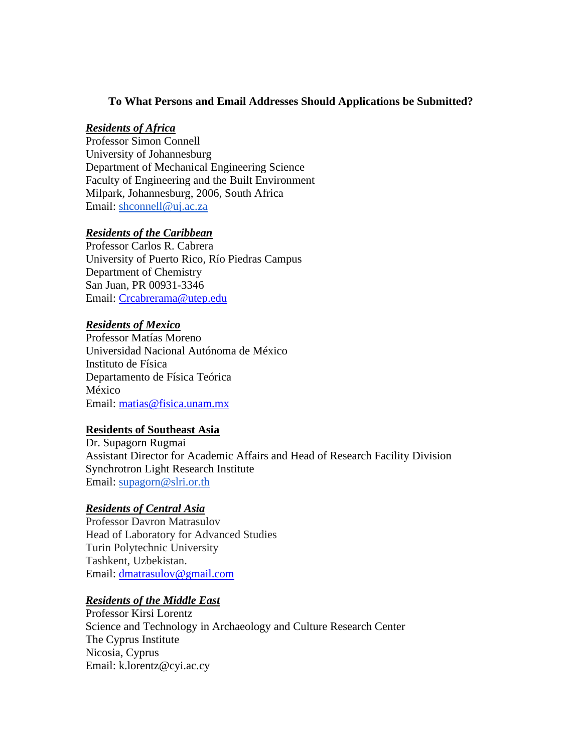#### **To What Persons and Email Addresses Should Applications be Submitted?**

#### *Residents of Africa*

Professor Simon Connell University of Johannesburg Department of Mechanical Engineering Science Faculty of Engineering and the Built Environment Milpark, Johannesburg, 2006, South Africa Email: [shconnell@uj.ac.za](mailto:shconnell@uj.ac.za)

#### *Residents of the Caribbean*

Professor Carlos R. Cabrera University of Puerto Rico, Río Piedras Campus Department of Chemistry San Juan, PR 00931-3346 Email: [Crcabrerama@utep.edu](mailto:Crcabrerama@utep.edu)

#### *Residents of Mexico*

Professor Matías Moreno Universidad Nacional Autónoma de México Instituto de Física Departamento de Física Teórica México Email: [matias@fisica.unam.mx](mailto:matias@fisica.unam.mx)

#### **Residents of Southeast Asia**

Dr. Supagorn Rugmai Assistant Director for Academic Affairs and Head of Research Facility Division Synchrotron Light Research Institute Email: [supagorn@slri.or.th](mailto:supagorn@slri.or.th)

#### *Residents of Central Asia*

Professor Davron Matrasulov Head of Laboratory for Advanced Studies Turin Polytechnic University Tashkent, Uzbekistan. Email: [dmatrasulov@gmail.com](mailto:dmatrasulov@gmail.com)

#### *Residents of the Middle East*

Professor Kirsi Lorentz Science and Technology in Archaeology and Culture Research Center The Cyprus Institute Nicosia, Cyprus Email: [k.lorentz@cyi.ac.cy](mailto:k.lorentz@cyi.ac.cy)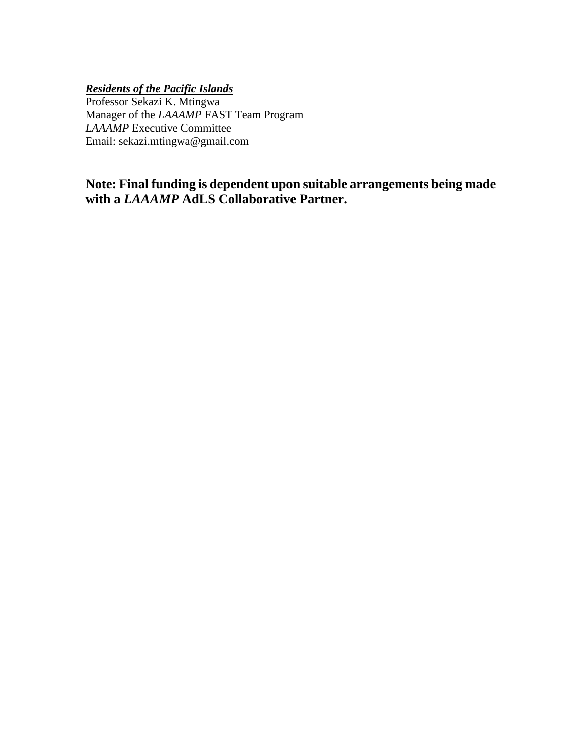*Residents of the Pacific Islands*

Professor Sekazi K. Mtingwa Manager of the *LAAAMP* FAST Team Program *LAAAMP* Executive Committee Email: sekazi.mtingwa@gmail.com

**Note: Final funding is dependent upon suitable arrangements being made with a** *LAAAMP* **AdLS Collaborative Partner.**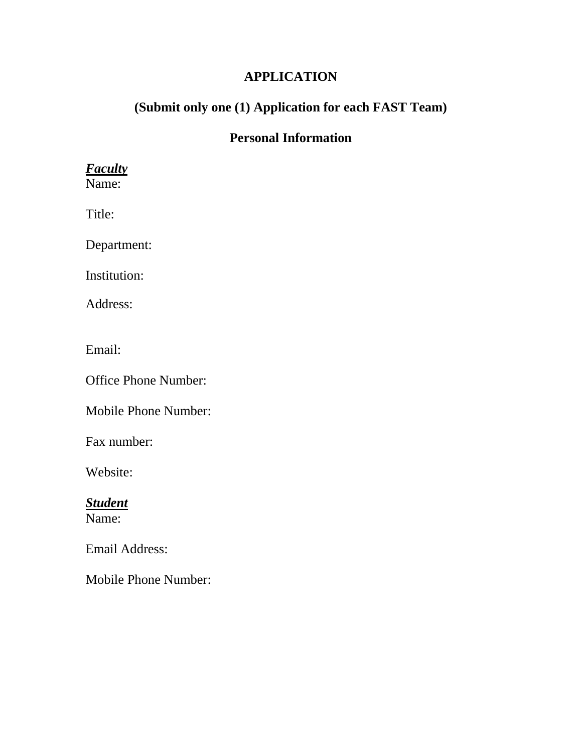### **APPLICATION**

# **(Submit only one (1) Application for each FAST Team)**

### **Personal Information**

# *Faculty*

Name:

Title:

Department:

Institution:

Address:

Email:

Office Phone Number:

Mobile Phone Number:

Fax number:

Website:

*Student* Name:

Email Address:

Mobile Phone Number: